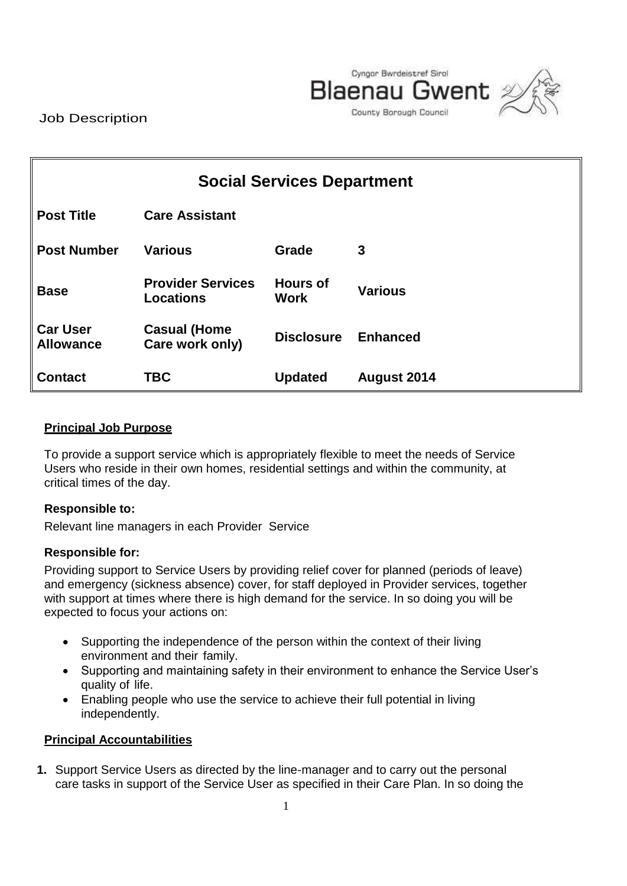

Job Description

| <b>Social Services Department</b>   |                                              |                                |                    |  |  |  |
|-------------------------------------|----------------------------------------------|--------------------------------|--------------------|--|--|--|
| <b>Post Title</b>                   | <b>Care Assistant</b>                        |                                |                    |  |  |  |
| <b>Post Number</b>                  | <b>Various</b>                               | Grade                          | 3                  |  |  |  |
| <b>Base</b>                         | <b>Provider Services</b><br><b>Locations</b> | <b>Hours of</b><br><b>Work</b> | <b>Various</b>     |  |  |  |
| <b>Car User</b><br><b>Allowance</b> | <b>Casual (Home</b><br>Care work only)       | <b>Disclosure</b>              | <b>Enhanced</b>    |  |  |  |
| <b>Contact</b>                      | <b>TBC</b>                                   | <b>Updated</b>                 | <b>August 2014</b> |  |  |  |

## **Principal Job Purpose**

To provide a support service which is appropriately flexible to meet the needs of Service Users who reside in their own homes, residential settings and within the community, at critical times of the day.

#### **Responsible to:**

Relevant line managers in each Provider Service

#### **Responsible for:**

Providing support to Service Users by providing relief cover for planned (periods of leave) and emergency (sickness absence) cover, for staff deployed in Provider services, together with support at times where there is high demand for the service. In so doing you will be expected to focus your actions on:

- Supporting the independence of the person within the context of their living environment and their family.
- Supporting and maintaining safety in their environment to enhance the Service User's quality of life.
- Enabling people who use the service to achieve their full potential in living independently.

#### **Principal Accountabilities**

**1.** Support Service Users as directed by the line-manager and to carry out the personal care tasks in support of the Service User as specified in their Care Plan. In so doing the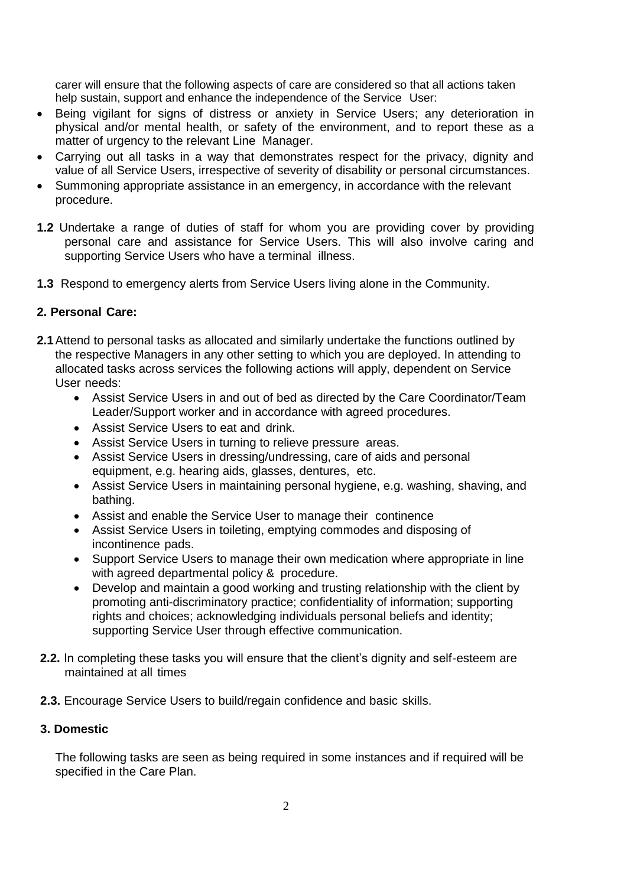carer will ensure that the following aspects of care are considered so that all actions taken help sustain, support and enhance the independence of the Service User:

- Being vigilant for signs of distress or anxiety in Service Users; any deterioration in physical and/or mental health, or safety of the environment, and to report these as a matter of urgency to the relevant Line Manager.
- Carrying out all tasks in a way that demonstrates respect for the privacy, dignity and value of all Service Users, irrespective of severity of disability or personal circumstances.
- Summoning appropriate assistance in an emergency, in accordance with the relevant procedure.
- **1.2** Undertake a range of duties of staff for whom you are providing cover by providing personal care and assistance for Service Users. This will also involve caring and supporting Service Users who have a terminal illness.
- **1.3** Respond to emergency alerts from Service Users living alone in the Community.

## **2. Personal Care:**

- **2.1**Attend to personal tasks as allocated and similarly undertake the functions outlined by the respective Managers in any other setting to which you are deployed. In attending to allocated tasks across services the following actions will apply, dependent on Service User needs:
	- Assist Service Users in and out of bed as directed by the Care Coordinator/Team Leader/Support worker and in accordance with agreed procedures.
	- Assist Service Users to eat and drink.
	- Assist Service Users in turning to relieve pressure areas.
	- Assist Service Users in dressing/undressing, care of aids and personal equipment, e.g. hearing aids, glasses, dentures, etc.
	- Assist Service Users in maintaining personal hygiene, e.g. washing, shaving, and bathing.
	- Assist and enable the Service User to manage their continence
	- Assist Service Users in toileting, emptying commodes and disposing of incontinence pads.
	- Support Service Users to manage their own medication where appropriate in line with agreed departmental policy & procedure.
	- Develop and maintain a good working and trusting relationship with the client by promoting anti-discriminatory practice; confidentiality of information; supporting rights and choices; acknowledging individuals personal beliefs and identity; supporting Service User through effective communication.
- **2.2.** In completing these tasks you will ensure that the client's dignity and self-esteem are maintained at all times
- **2.3.** Encourage Service Users to build/regain confidence and basic skills.

#### **3. Domestic**

The following tasks are seen as being required in some instances and if required will be specified in the Care Plan.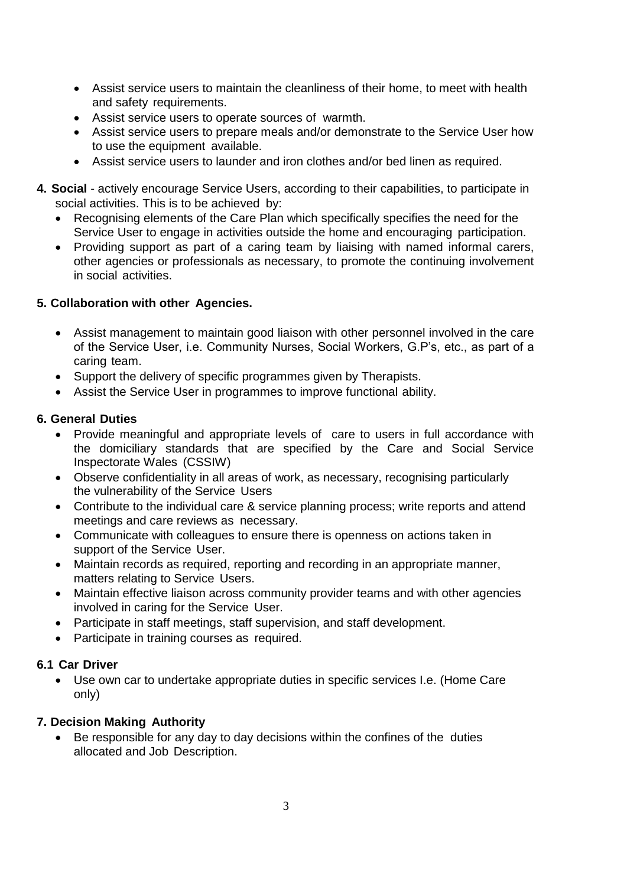- Assist service users to maintain the cleanliness of their home, to meet with health and safety requirements.
- Assist service users to operate sources of warmth.
- Assist service users to prepare meals and/or demonstrate to the Service User how to use the equipment available.
- Assist service users to launder and iron clothes and/or bed linen as required.
- **4. Social**  actively encourage Service Users, according to their capabilities, to participate in social activities. This is to be achieved by:
	- Recognising elements of the Care Plan which specifically specifies the need for the Service User to engage in activities outside the home and encouraging participation.
	- Providing support as part of a caring team by liaising with named informal carers, other agencies or professionals as necessary, to promote the continuing involvement in social activities.

# **5. Collaboration with other Agencies.**

- Assist management to maintain good liaison with other personnel involved in the care of the Service User, i.e. Community Nurses, Social Workers, G.P's, etc., as part of a caring team.
- Support the delivery of specific programmes given by Therapists.
- Assist the Service User in programmes to improve functional ability.

# **6. General Duties**

- Provide meaningful and appropriate levels of care to users in full accordance with the domiciliary standards that are specified by the Care and Social Service Inspectorate Wales (CSSIW)
- Observe confidentiality in all areas of work, as necessary, recognising particularly the vulnerability of the Service Users
- Contribute to the individual care & service planning process; write reports and attend meetings and care reviews as necessary.
- Communicate with colleagues to ensure there is openness on actions taken in support of the Service User.
- Maintain records as required, reporting and recording in an appropriate manner, matters relating to Service Users.
- Maintain effective liaison across community provider teams and with other agencies involved in caring for the Service User.
- Participate in staff meetings, staff supervision, and staff development.
- Participate in training courses as required.

# **6.1 Car Driver**

 Use own car to undertake appropriate duties in specific services I.e. (Home Care only)

# **7. Decision Making Authority**

 Be responsible for any day to day decisions within the confines of the duties allocated and Job Description.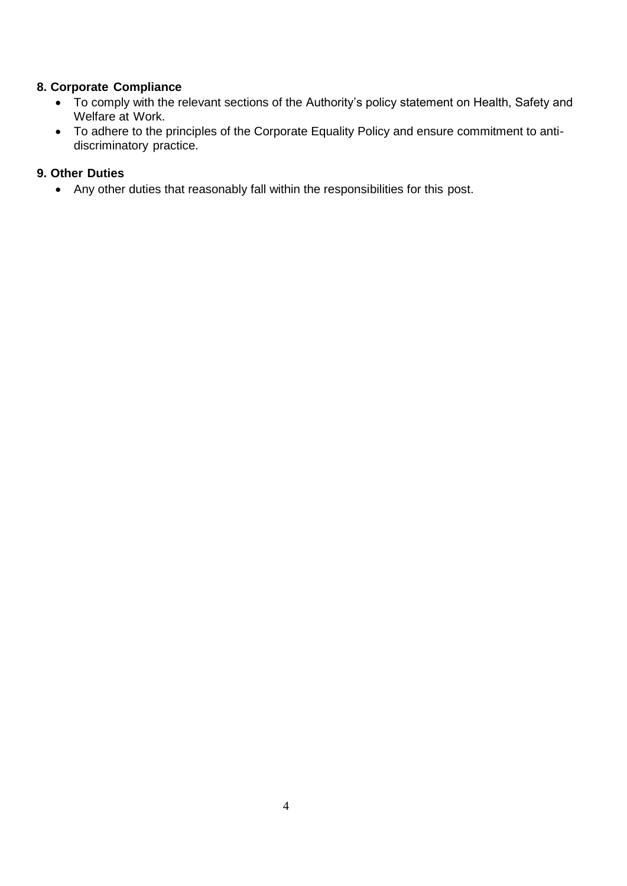## **8. Corporate Compliance**

- To comply with the relevant sections of the Authority's policy statement on Health, Safety and Welfare at Work.
- To adhere to the principles of the Corporate Equality Policy and ensure commitment to antidiscriminatory practice.

## **9. Other Duties**

Any other duties that reasonably fall within the responsibilities for this post.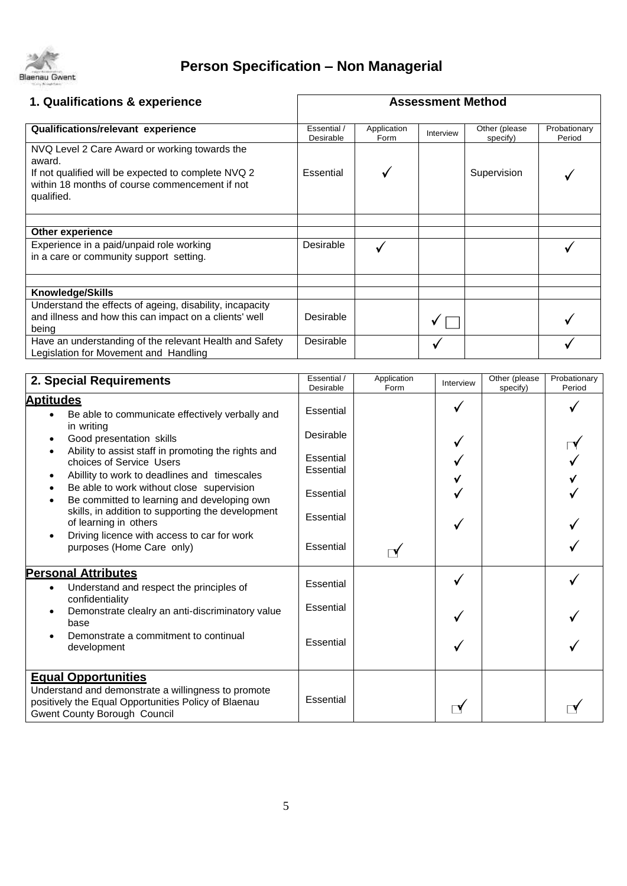

# **Person Specification – Non Managerial**

| 1. Qualifications & experience                                                                                                                                                 | <b>Assessment Method</b> |                     |           |                           |                        |
|--------------------------------------------------------------------------------------------------------------------------------------------------------------------------------|--------------------------|---------------------|-----------|---------------------------|------------------------|
| Qualifications/relevant experience                                                                                                                                             | Essential /<br>Desirable | Application<br>Form | Interview | Other (please<br>specify) | Probationary<br>Period |
| NVQ Level 2 Care Award or working towards the<br>award.<br>If not qualified will be expected to complete NVQ 2<br>within 18 months of course commencement if not<br>qualified. | Essential                |                     |           | Supervision               |                        |
| Other experience                                                                                                                                                               |                          |                     |           |                           |                        |
| Experience in a paid/unpaid role working<br>in a care or community support setting.                                                                                            | Desirable                |                     |           |                           |                        |
| Knowledge/Skills                                                                                                                                                               |                          |                     |           |                           |                        |
| Understand the effects of ageing, disability, incapacity<br>and illness and how this can impact on a clients' well<br>being                                                    | Desirable                |                     |           |                           |                        |
| Have an understanding of the relevant Health and Safety<br>Legislation for Movement and Handling                                                                               | Desirable                |                     |           |                           |                        |
|                                                                                                                                                                                |                          |                     |           |                           |                        |
| 2. Special Requirements                                                                                                                                                        | Essential /<br>Desirable | Application<br>Form | Interview | Other (please<br>specify) | Probationary<br>Period |
| <b>Aptitudes</b><br>Be able to communicate effectively verbally and<br>$\bullet$<br>in writing                                                                                 | Essential                |                     |           |                           |                        |
| Good presentation skills<br>Ability to assist staff in promoting the rights and<br>$\bullet$                                                                                   | Desirable                |                     |           |                           |                        |
| choices of Service Users<br>Abillity to work to deadlines and timescales<br>٠                                                                                                  | Essential<br>Essential   |                     |           |                           |                        |
| Be able to work without close supervision<br>$\bullet$<br>Be committed to learning and developing own<br>$\bullet$                                                             | Essential                |                     |           |                           |                        |
| skills, in addition to supporting the development<br>of learning in others                                                                                                     | Essential                |                     |           |                           |                        |
| Driving licence with access to car for work<br>$\bullet$<br>purposes (Home Care only)                                                                                          | <b>Essential</b>         |                     |           |                           |                        |
| <b>Personal Attributes</b><br>Understand and respect the principles of<br>$\bullet$                                                                                            | Essential                |                     |           |                           |                        |
| confidentiality<br>Demonstrate clealry an anti-discriminatory value<br>$\bullet$<br>base                                                                                       | Essential                |                     |           |                           |                        |
| Demonstrate a commitment to continual<br>development                                                                                                                           | Essential                |                     |           |                           |                        |
| <b>Equal Opportunities</b><br>Understand and demonstrate a willingness to promote<br>positively the Equal Opportunities Policy of Blaenau<br>Gwent County Borough Council      | Essential                |                     | $\Box'$   |                           |                        |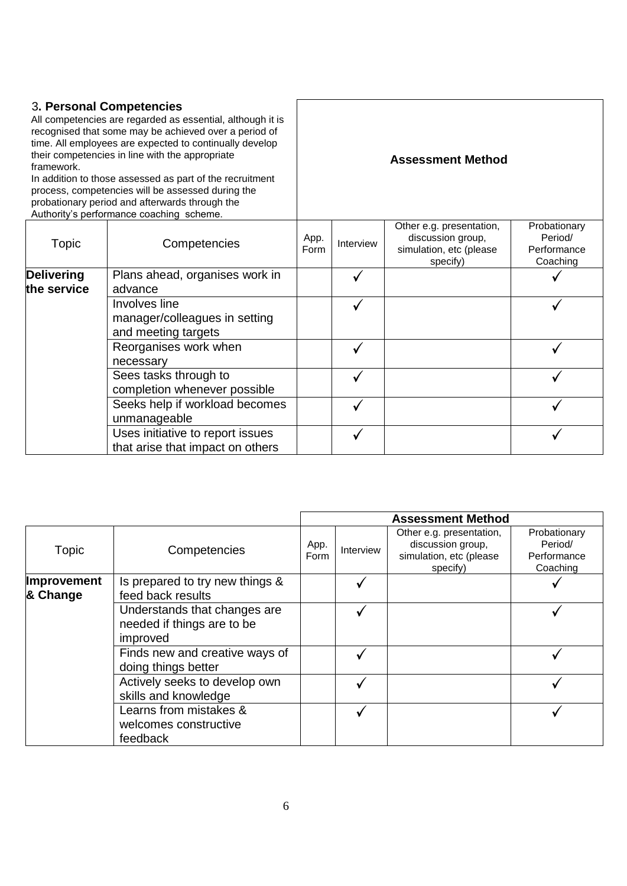### 3**. Personal Competencies**

All competencies are regarded as essential, although it is recognised that some may be achieved over a period of time. All employees are expected to continually develop their competencies in line with the appropriate framework.

In addition to those assessed as part of the recruitment process, competencies will be assessed during the probationary period and afterwards through the

**Assessment Method**

| Authority's performance coaching scheme. |                                                                       |              |           |                                                                                      |                                                    |
|------------------------------------------|-----------------------------------------------------------------------|--------------|-----------|--------------------------------------------------------------------------------------|----------------------------------------------------|
| Topic                                    | Competencies                                                          | App.<br>Form | Interview | Other e.g. presentation,<br>discussion group,<br>simulation, etc (please<br>specify) | Probationary<br>Period/<br>Performance<br>Coaching |
| <b>Delivering</b>                        | Plans ahead, organises work in                                        |              |           |                                                                                      |                                                    |
| the service                              | advance                                                               |              |           |                                                                                      |                                                    |
|                                          | Involves line<br>manager/colleagues in setting<br>and meeting targets |              |           |                                                                                      |                                                    |
|                                          | Reorganises work when<br>necessary                                    |              |           |                                                                                      |                                                    |
|                                          | Sees tasks through to<br>completion whenever possible                 |              |           |                                                                                      |                                                    |
|                                          | Seeks help if workload becomes<br>unmanageable                        |              |           |                                                                                      |                                                    |
|                                          | Uses initiative to report issues<br>that arise that impact on others  |              |           |                                                                                      |                                                    |

|                                |                                                                        | <b>Assessment Method</b> |                  |                                                                                      |                                                    |
|--------------------------------|------------------------------------------------------------------------|--------------------------|------------------|--------------------------------------------------------------------------------------|----------------------------------------------------|
| Topic                          | Competencies                                                           | App.<br>Form             | <b>Interview</b> | Other e.g. presentation,<br>discussion group,<br>simulation, etc (please<br>specify) | Probationary<br>Period/<br>Performance<br>Coaching |
| <b>Improvement</b><br>& Change | Is prepared to try new things &<br>feed back results                   |                          |                  |                                                                                      |                                                    |
|                                | Understands that changes are<br>needed if things are to be<br>improved |                          |                  |                                                                                      |                                                    |
|                                | Finds new and creative ways of<br>doing things better                  |                          |                  |                                                                                      |                                                    |
|                                | Actively seeks to develop own<br>skills and knowledge                  |                          |                  |                                                                                      |                                                    |
|                                | Learns from mistakes &<br>welcomes constructive<br>feedback            |                          |                  |                                                                                      |                                                    |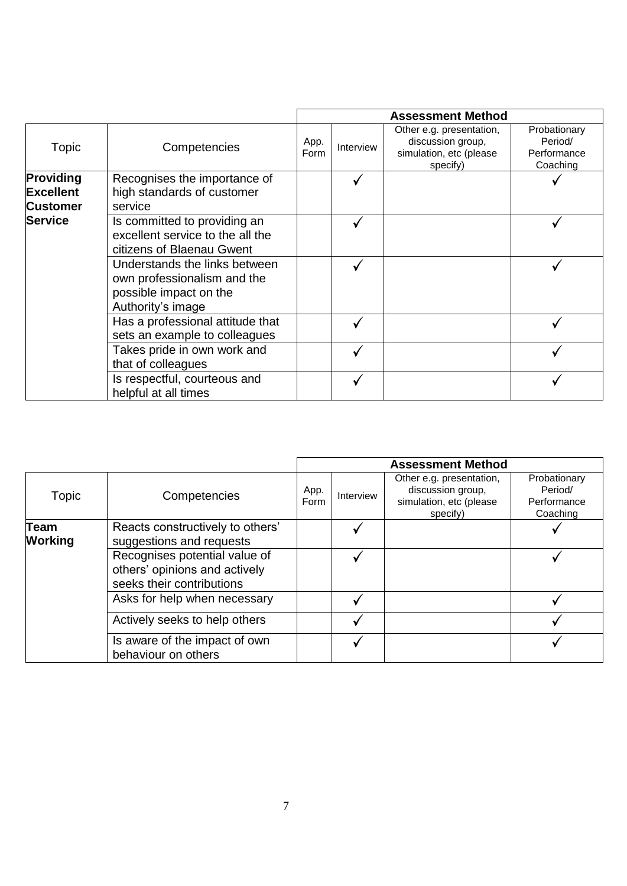|                                                  |                                                                                                             |              |           | <b>Assessment Method</b>                                                             |                                                    |
|--------------------------------------------------|-------------------------------------------------------------------------------------------------------------|--------------|-----------|--------------------------------------------------------------------------------------|----------------------------------------------------|
| Topic                                            | Competencies                                                                                                | App.<br>Form | Interview | Other e.g. presentation,<br>discussion group,<br>simulation, etc (please<br>specify) | Probationary<br>Period/<br>Performance<br>Coaching |
| Providing<br><b>Excellent</b><br><b>Customer</b> | Recognises the importance of<br>high standards of customer<br>service                                       |              |           |                                                                                      |                                                    |
| <b>Service</b>                                   | Is committed to providing an<br>excellent service to the all the<br>citizens of Blaenau Gwent               |              |           |                                                                                      |                                                    |
|                                                  | Understands the links between<br>own professionalism and the<br>possible impact on the<br>Authority's image |              |           |                                                                                      |                                                    |
|                                                  | Has a professional attitude that<br>sets an example to colleagues                                           |              |           |                                                                                      |                                                    |
|                                                  | Takes pride in own work and<br>that of colleagues                                                           |              |           |                                                                                      |                                                    |
|                                                  | Is respectful, courteous and<br>helpful at all times                                                        |              |           |                                                                                      |                                                    |

|                               |                                                                                             |              |           | <b>Assessment Method</b>                                                             |                                                    |
|-------------------------------|---------------------------------------------------------------------------------------------|--------------|-----------|--------------------------------------------------------------------------------------|----------------------------------------------------|
| <b>Topic</b>                  | Competencies                                                                                | App.<br>Form | Interview | Other e.g. presentation,<br>discussion group,<br>simulation, etc (please<br>specify) | Probationary<br>Period/<br>Performance<br>Coaching |
| <b>Team</b><br><b>Working</b> | Reacts constructively to others'<br>suggestions and requests                                |              |           |                                                                                      |                                                    |
|                               | Recognises potential value of<br>others' opinions and actively<br>seeks their contributions |              |           |                                                                                      |                                                    |
|                               | Asks for help when necessary                                                                |              |           |                                                                                      |                                                    |
|                               | Actively seeks to help others                                                               |              |           |                                                                                      |                                                    |
|                               | Is aware of the impact of own<br>behaviour on others                                        |              |           |                                                                                      |                                                    |